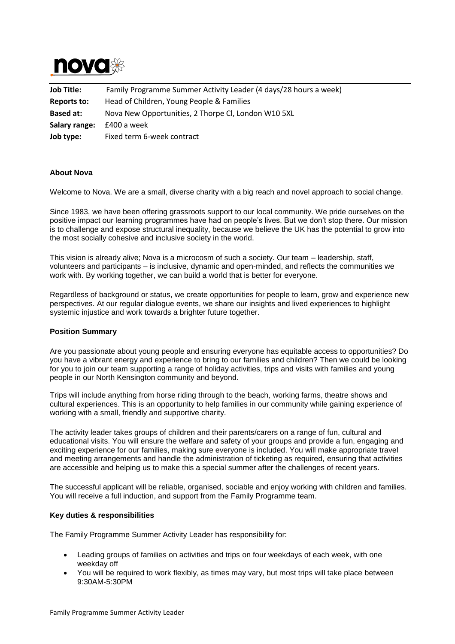

| <b>Job Title:</b> | Family Programme Summer Activity Leader (4 days/28 hours a week) |
|-------------------|------------------------------------------------------------------|
| Reports to:       | Head of Children, Young People & Families                        |
| <b>Based at:</b>  | Nova New Opportunities, 2 Thorpe Cl, London W10 5XL              |
| Salary range:     | £400 a week                                                      |
| Job type:         | Fixed term 6-week contract                                       |

## **About Nova**

Welcome to Nova. We are a small, diverse charity with a big reach and novel approach to social change.

Since 1983, we have been offering grassroots support to our local community. We pride ourselves on the positive impact our learning programmes have had on people's lives. But we don't stop there. Our mission is to challenge and expose structural inequality, because we believe the UK has the potential to grow into the most socially cohesive and inclusive society in the world.

This vision is already alive; Nova is a microcosm of such a society. Our team – leadership, staff, volunteers and participants – is inclusive, dynamic and open-minded, and reflects the communities we work with. By working together, we can build a world that is better for everyone.

Regardless of background or status, we create opportunities for people to learn, grow and experience new perspectives. At our regular dialogue events, we share our insights and lived experiences to highlight systemic injustice and work towards a brighter future together.

# **Position Summary**

Are you passionate about young people and ensuring everyone has equitable access to opportunities? Do you have a vibrant energy and experience to bring to our families and children? Then we could be looking for you to join our team supporting a range of holiday activities, trips and visits with families and young people in our North Kensington community and beyond.

Trips will include anything from horse riding through to the beach, working farms, theatre shows and cultural experiences. This is an opportunity to help families in our community while gaining experience of working with a small, friendly and supportive charity.

The activity leader takes groups of children and their parents/carers on a range of fun, cultural and educational visits. You will ensure the welfare and safety of your groups and provide a fun, engaging and exciting experience for our families, making sure everyone is included. You will make appropriate travel and meeting arrangements and handle the administration of ticketing as required, ensuring that activities are accessible and helping us to make this a special summer after the challenges of recent years.

The successful applicant will be reliable, organised, sociable and enjoy working with children and families. You will receive a full induction, and support from the Family Programme team.

#### **Key duties & responsibilities**

The Family Programme Summer Activity Leader has responsibility for:

- Leading groups of families on activities and trips on four weekdays of each week, with one weekday off
- You will be required to work flexibly, as times may vary, but most trips will take place between 9:30AM-5:30PM